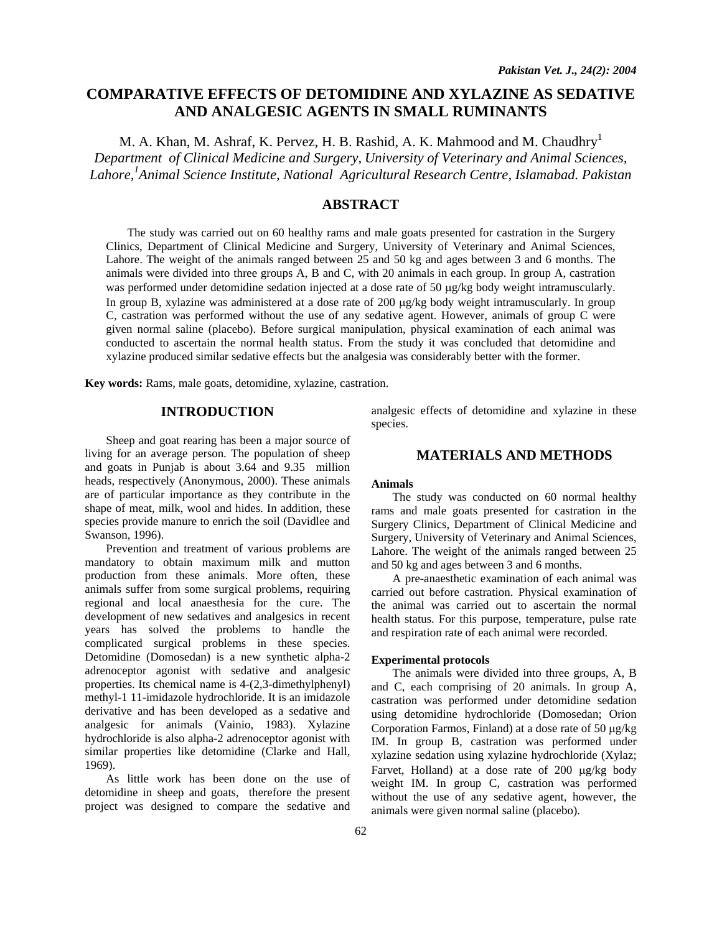# **COMPARATIVE EFFECTS OF DETOMIDINE AND XYLAZINE AS SEDATIVE AND ANALGESIC AGENTS IN SMALL RUMINANTS**

M. A. Khan, M. Ashraf, K. Pervez, H. B. Rashid, A. K. Mahmood and M. Chaudhry<sup>1</sup> *Department of Clinical Medicine and Surgery, University of Veterinary and Animal Sciences, Lahore,1 Animal Science Institute, National Agricultural Research Centre, Islamabad. Pakistan* 

# **ABSTRACT**

The study was carried out on 60 healthy rams and male goats presented for castration in the Surgery Clinics, Department of Clinical Medicine and Surgery, University of Veterinary and Animal Sciences, Lahore. The weight of the animals ranged between 25 and 50 kg and ages between 3 and 6 months. The animals were divided into three groups A, B and C, with 20 animals in each group. In group A, castration was performed under detomidine sedation injected at a dose rate of 50 µg/kg body weight intramuscularly. In group B, xylazine was administered at a dose rate of  $200 \mu g/kg$  body weight intramuscularly. In group C, castration was performed without the use of any sedative agent. However, animals of group C were given normal saline (placebo). Before surgical manipulation, physical examination of each animal was conducted to ascertain the normal health status. From the study it was concluded that detomidine and xylazine produced similar sedative effects but the analgesia was considerably better with the former.

**Key words:** Rams, male goats, detomidine, xylazine, castration.

# **INTRODUCTION**

Sheep and goat rearing has been a major source of living for an average person. The population of sheep and goats in Punjab is about 3.64 and 9.35 million heads, respectively (Anonymous, 2000). These animals are of particular importance as they contribute in the shape of meat, milk, wool and hides. In addition, these species provide manure to enrich the soil (Davidlee and Swanson, 1996).

Prevention and treatment of various problems are mandatory to obtain maximum milk and mutton production from these animals. More often, these animals suffer from some surgical problems, requiring regional and local anaesthesia for the cure. The development of new sedatives and analgesics in recent years has solved the problems to handle the complicated surgical problems in these species. Detomidine (Domosedan) is a new synthetic alpha-2 adrenoceptor agonist with sedative and analgesic properties. Its chemical name is 4-(2,3-dimethylphenyl) methyl-1 11-imidazole hydrochloride. It is an imidazole derivative and has been developed as a sedative and analgesic for animals (Vainio, 1983). Xylazine hydrochloride is also alpha-2 adrenoceptor agonist with similar properties like detomidine (Clarke and Hall, 1969).

As little work has been done on the use of detomidine in sheep and goats, therefore the present project was designed to compare the sedative and analgesic effects of detomidine and xylazine in these species.

# **MATERIALS AND METHODS**

#### **Animals**

The study was conducted on 60 normal healthy rams and male goats presented for castration in the Surgery Clinics, Department of Clinical Medicine and Surgery, University of Veterinary and Animal Sciences, Lahore. The weight of the animals ranged between 25 and 50 kg and ages between 3 and 6 months.

A pre-anaesthetic examination of each animal was carried out before castration. Physical examination of the animal was carried out to ascertain the normal health status. For this purpose, temperature, pulse rate and respiration rate of each animal were recorded.

# **Experimental protocols**

The animals were divided into three groups, A, B and C, each comprising of 20 animals. In group A, castration was performed under detomidine sedation using detomidine hydrochloride (Domosedan; Orion Corporation Farmos, Finland) at a dose rate of 50  $\mu$ g/kg IM. In group B, castration was performed under xylazine sedation using xylazine hydrochloride (Xylaz; Farvet, Holland) at a dose rate of 200 µg/kg body weight IM. In group C, castration was performed without the use of any sedative agent, however, the animals were given normal saline (placebo).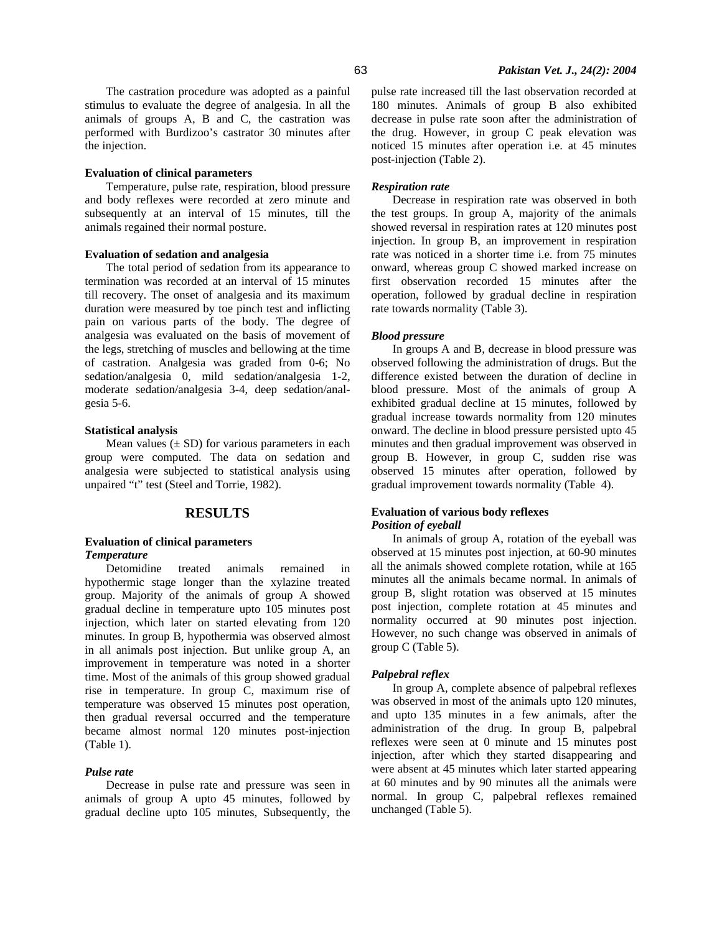The castration procedure was adopted as a painful stimulus to evaluate the degree of analgesia. In all the animals of groups A, B and C, the castration was performed with Burdizoo's castrator 30 minutes after the injection.

#### **Evaluation of clinical parameters**

Temperature, pulse rate, respiration, blood pressure and body reflexes were recorded at zero minute and subsequently at an interval of 15 minutes, till the animals regained their normal posture.

#### **Evaluation of sedation and analgesia**

The total period of sedation from its appearance to termination was recorded at an interval of 15 minutes till recovery. The onset of analgesia and its maximum duration were measured by toe pinch test and inflicting pain on various parts of the body. The degree of analgesia was evaluated on the basis of movement of the legs, stretching of muscles and bellowing at the time of castration. Analgesia was graded from 0-6; No sedation/analgesia 0, mild sedation/analgesia 1-2, moderate sedation/analgesia 3-4, deep sedation/analgesia 5-6.

#### **Statistical analysis**

Mean values  $(\pm SD)$  for various parameters in each group were computed. The data on sedation and analgesia were subjected to statistical analysis using unpaired "t" test (Steel and Torrie, 1982).

# **RESULTS**

## **Evaluation of clinical parameters**  *Temperature*

Detomidine treated animals remained in hypothermic stage longer than the xylazine treated group. Majority of the animals of group A showed gradual decline in temperature upto 105 minutes post injection, which later on started elevating from 120 minutes. In group B, hypothermia was observed almost in all animals post injection. But unlike group A, an improvement in temperature was noted in a shorter time. Most of the animals of this group showed gradual rise in temperature. In group C, maximum rise of temperature was observed 15 minutes post operation, then gradual reversal occurred and the temperature became almost normal 120 minutes post-injection (Table 1).

## *Pulse rate*

Decrease in pulse rate and pressure was seen in animals of group A upto 45 minutes, followed by gradual decline upto 105 minutes, Subsequently, the pulse rate increased till the last observation recorded at 180 minutes. Animals of group B also exhibited decrease in pulse rate soon after the administration of the drug. However, in group C peak elevation was noticed 15 minutes after operation i.e. at 45 minutes post-injection (Table 2).

## *Respiration rate*

Decrease in respiration rate was observed in both the test groups. In group A, majority of the animals showed reversal in respiration rates at 120 minutes post injection. In group B, an improvement in respiration rate was noticed in a shorter time i.e. from 75 minutes onward, whereas group C showed marked increase on first observation recorded 15 minutes after the operation, followed by gradual decline in respiration rate towards normality (Table 3).

#### *Blood pressure*

In groups A and B, decrease in blood pressure was observed following the administration of drugs. But the difference existed between the duration of decline in blood pressure. Most of the animals of group A exhibited gradual decline at 15 minutes, followed by gradual increase towards normality from 120 minutes onward. The decline in blood pressure persisted upto 45 minutes and then gradual improvement was observed in group B. However, in group C, sudden rise was observed 15 minutes after operation, followed by gradual improvement towards normality (Table 4).

## **Evaluation of various body reflexes**  *Position of eyeball*

In animals of group A, rotation of the eyeball was observed at 15 minutes post injection, at 60-90 minutes all the animals showed complete rotation, while at 165 minutes all the animals became normal. In animals of group B, slight rotation was observed at 15 minutes post injection, complete rotation at 45 minutes and normality occurred at 90 minutes post injection. However, no such change was observed in animals of group C (Table 5).

#### *Palpebral reflex*

In group A, complete absence of palpebral reflexes was observed in most of the animals upto 120 minutes, and upto 135 minutes in a few animals, after the administration of the drug. In group B, palpebral reflexes were seen at 0 minute and 15 minutes post injection, after which they started disappearing and were absent at 45 minutes which later started appearing at 60 minutes and by 90 minutes all the animals were normal. In group C, palpebral reflexes remained unchanged (Table 5).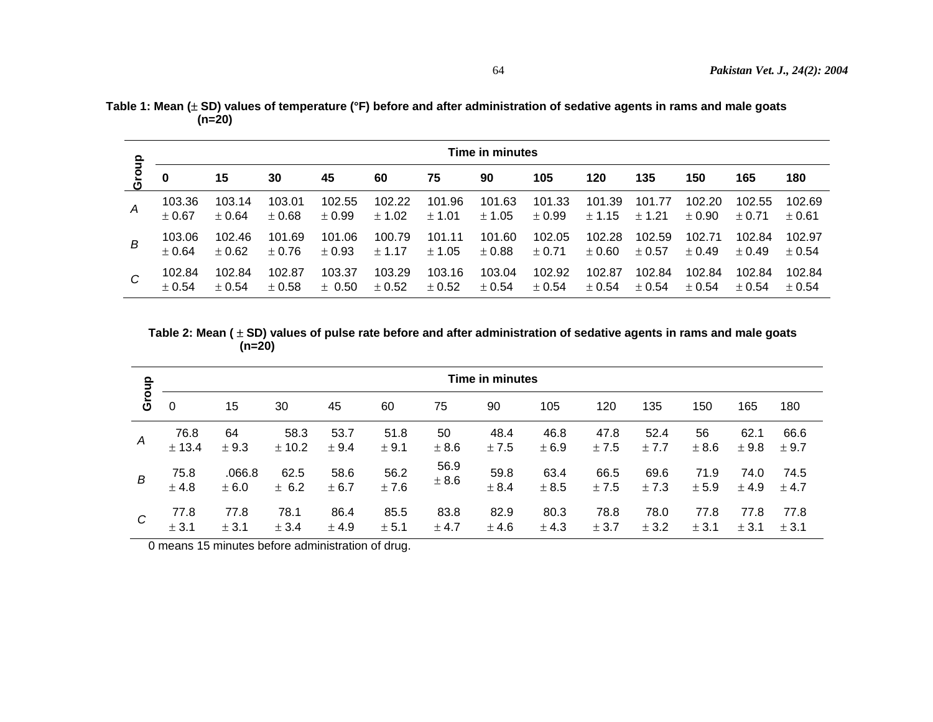|               |        | Time in minutes |            |            |            |            |            |            |            |            |            |            |            |  |
|---------------|--------|-----------------|------------|------------|------------|------------|------------|------------|------------|------------|------------|------------|------------|--|
| Group         | 0      | 15              | 30         | 45         | 60         | 75         | 90         | 105        | 120        | 135        | 150        | 165        | 180        |  |
| $\mathcal{A}$ | 103.36 | 103.14          | 103.01     | 102.55     | 102.22     | 101.96     | 101.63     | 101.33     | 101.39     | 101.77     | 102.20     | 102.55     | 102.69     |  |
|               | ±0.67  | ± 0.64          | $\pm 0.68$ | ± 0.99     | ± 1.02     | ± 1.01     | ± 1.05     | ± 0.99     | ± 1.15     | ± 1.21     | $\pm 0.90$ | $\pm$ 0.71 | $\pm$ 0.61 |  |
| В             | 103.06 | 102.46          | 101.69     | 101.06     | 100.79     | 101.11     | 101.60     | 102.05     | 102.28     | 102.59     | 102.71     | 102.84     | 102.97     |  |
|               | ± 0.64 | $\pm 0.62$      | $\pm$ 0.76 | ± 0.93     | $\pm$ 1.17 | ± 1.05     | $\pm 0.88$ | $\pm$ 0.71 | $\pm 0.60$ | $\pm$ 0.57 | ± 0.49     | $\pm 0.49$ | $\pm 0.54$ |  |
| C             | 102.84 | 102.84          | 102.87     | 103.37     | 103.29     | 103.16     | 103.04     | 102.92     | 102.87     | 102.84     | 102.84     | 102.84     | 102.84     |  |
|               | ± 0.54 | ± 0.54          | $\pm 0.58$ | $\pm$ 0.50 | $\pm$ 0.52 | $\pm 0.52$ | ± 0.54     | ± 0.54     | $\pm 0.54$ | $\pm 0.54$ | $\pm$ 0.54 | $\pm 0.54$ | $\pm 0.54$ |  |

**Table 1: Mean (**± **SD) values of temperature (°F) before and after administration of sedative agents in rams and male goats**   $(n=20)$ 

**Table 2: Mean (** ± **SD) values of pulse rate before and after administration of sedative agents in rams and male goats**   $(n=20)$ 

| $\frac{1}{2}$ |        | <b>Time in minutes</b> |        |       |       |       |       |       |       |       |       |       |       |  |  |
|---------------|--------|------------------------|--------|-------|-------|-------|-------|-------|-------|-------|-------|-------|-------|--|--|
| ō<br>Ō        | 0      | 15                     | 30     | 45    | 60    | 75    | 90    | 105   | 120   | 135   | 150   | 165   | 180   |  |  |
| A             | 76.8   | 64                     | 58.3   | 53.7  | 51.8  | 50    | 48.4  | 46.8  | 47.8  | 52.4  | 56    | 62.1  | 66.6  |  |  |
|               | ± 13.4 | ± 9.3                  | ± 10.2 | ± 9.4 | ± 9.1 | ± 8.6 | ± 7.5 | ± 6.9 | ± 7.5 | ± 7.7 | ± 8.6 | ± 9.8 | ± 9.7 |  |  |
| B             | 75.8   | .066.8                 | 62.5   | 58.6  | 56.2  | 56.9  | 59.8  | 63.4  | 66.5  | 69.6  | 71.9  | 74.0  | 74.5  |  |  |
|               | ± 4.8  | ± 6.0                  | ± 6.2  | ± 6.7 | ± 7.6 | ± 8.6 | ± 8.4 | ± 8.5 | ± 7.5 | ±7.3  | ± 5.9 | ± 4.9 | ± 4.7 |  |  |
| C             | 77.8   | 77.8                   | 78.1   | 86.4  | 85.5  | 83.8  | 82.9  | 80.3  | 78.8  | 78.0  | 77.8  | 77.8  | 77.8  |  |  |
|               | ± 3.1  | ± 3.1                  | ± 3.4  | ± 4.9 | ± 5.1 | ± 4.7 | ± 4.6 | ± 4.3 | ± 3.7 | ± 3.2 | ± 3.1 | ± 3.1 | ± 3.1 |  |  |

0 means 15 minutes before administration of drug.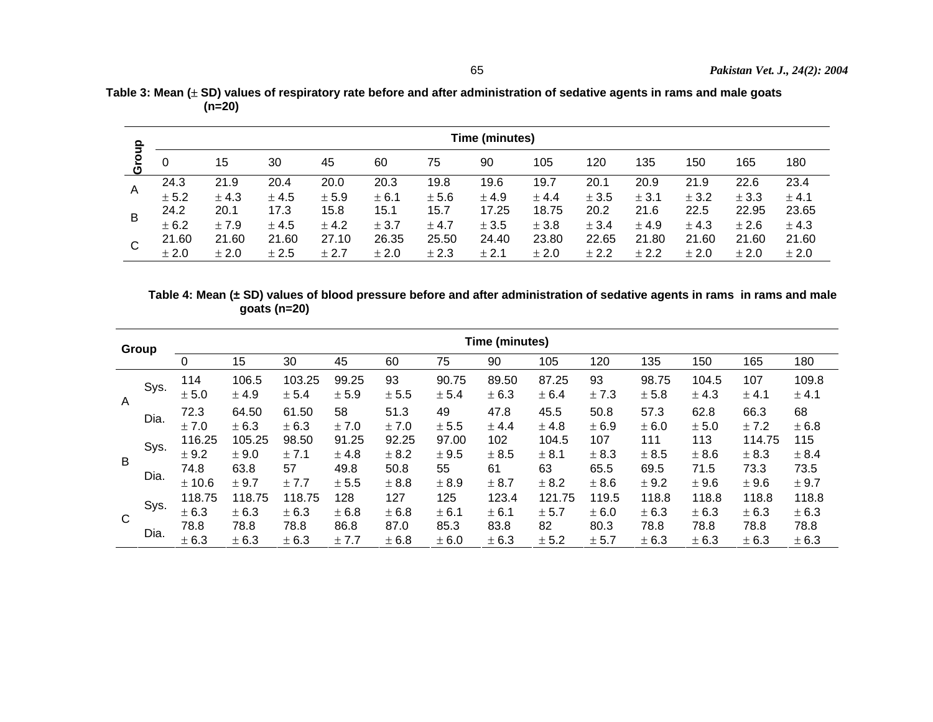| ௨              |       | Time (minutes) |       |       |       |       |       |       |       |       |       |       |       |  |  |
|----------------|-------|----------------|-------|-------|-------|-------|-------|-------|-------|-------|-------|-------|-------|--|--|
| Gro            | 0     | 15             | 30    | 45    | 60    | 75    | 90    | 105   | 120   | 135   | 150   | 165   | 180   |  |  |
| $\overline{A}$ | 24.3  | 21.9           | 20.4  | 20.0  | 20.3  | 19.8  | 19.6  | 19.7  | 20.1  | 20.9  | 21.9  | 22.6  | 23.4  |  |  |
|                | ± 5.2 | ± 4.3          | ± 4.5 | ± 5.9 | ± 6.1 | ± 5.6 | ± 4.9 | ± 4.4 | ± 3.5 | ± 3.1 | ± 3.2 | ± 3.3 | ± 4.1 |  |  |
|                | 24.2  | 20.1           | 17.3  | 15.8  | 15.1  | 15.7  | 17.25 | 18.75 | 20.2  | 21.6  | 22.5  | 22.95 | 23.65 |  |  |
| Β              | ± 6.2 | ± 7.9          | ± 4.5 | ± 4.2 | ± 3.7 | ± 4.7 | ± 3.5 | ± 3.8 | ± 3.4 | ± 4.9 | ± 4.3 | ± 2.6 | ± 4.3 |  |  |
| C              | 21.60 | 21.60          | 21.60 | 27.10 | 26.35 | 25.50 | 24.40 | 23.80 | 22.65 | 21.80 | 21.60 | 21.60 | 21.60 |  |  |
|                | ± 2.0 | ± 2.0          | ± 2.5 | ± 2.7 | ± 2.0 | ± 2.3 | ± 2.1 | ± 2.0 | ± 2.2 | ± 2.2 | ± 2.0 | ± 2.0 | ± 2.0 |  |  |

**Table 3: Mean (**± **SD) values of respiratory rate before and after administration of sedative agents in rams and male goats**   $(n=20)$ 

 **Table 4: Mean (± SD) values of blood pressure before and after administration of sedative agents in rams in rams and male goats (n=20)** 

| Group          |      | Time (minutes)  |                 |                 |                |                |                |                |                 |                |                |                |                 |                |
|----------------|------|-----------------|-----------------|-----------------|----------------|----------------|----------------|----------------|-----------------|----------------|----------------|----------------|-----------------|----------------|
|                |      | 0               | 15              | 30              | 45             | 60             | 75             | 90             | 105             | 120            | 135            | 150            | 165             | 180            |
| $\overline{A}$ | Sys. | 114<br>± 5.0    | 106.5<br>± 4.9  | 103.25<br>± 5.4 | 99.25<br>± 5.9 | 93<br>± 5.5    | 90.75<br>± 5.4 | 89.50<br>± 6.3 | 87.25<br>± 6.4  | 93<br>± 7.3    | 98.75<br>± 5.8 | 104.5<br>± 4.3 | 107<br>± 4.1    | 109.8<br>± 4.1 |
|                | Dia. | 72.3<br>± 7.0   | 64.50<br>± 6.3  | 61.50<br>± 6.3  | 58<br>± 7.0    | 51.3<br>± 7.0  | 49<br>± 5.5    | 47.8<br>± 4.4  | 45.5<br>± 4.8   | 50.8<br>± 6.9  | 57.3<br>± 6.0  | 62.8<br>± 5.0  | 66.3<br>± 7.2   | 68<br>± 6.8    |
| B              | Sys. | 116.25<br>± 9.2 | 105.25<br>± 9.0 | 98.50<br>± 7.1  | 91.25<br>± 4.8 | 92.25<br>± 8.2 | 97.00<br>± 9.5 | 102<br>± 8.5   | 104.5<br>± 8.1  | 107<br>± 8.3   | 111<br>± 8.5   | 113<br>± 8.6   | 114.75<br>± 8.3 | 115<br>± 8.4   |
|                | Dia. | 74.8<br>± 10.6  | 63.8<br>± 9.7   | 57<br>± 7.7     | 49.8<br>± 5.5  | 50.8<br>± 8.8  | 55<br>± 8.9    | 61<br>± 8.7    | 63<br>± 8.2     | 65.5<br>± 8.6  | 69.5<br>± 9.2  | 71.5<br>±9.6   | 73.3<br>± 9.6   | 73.5<br>± 9.7  |
| C              | Sys. | 118.75<br>± 6.3 | 118.75<br>± 6.3 | 118.75<br>± 6.3 | 128<br>± 6.8   | 127<br>± 6.8   | 125<br>± 6.1   | 123.4<br>± 6.1 | 121.75<br>± 5.7 | 119.5<br>± 6.0 | 118.8<br>± 6.3 | 118.8<br>± 6.3 | 118.8<br>± 6.3  | 118.8<br>± 6.3 |
|                | Dia. | 78.8<br>± 6.3   | 78.8<br>± 6.3   | 78.8<br>± 6.3   | 86.8<br>± 7.7  | 87.0<br>± 6.8  | 85.3<br>± 6.0  | 83.8<br>± 6.3  | 82<br>± 5.2     | 80.3<br>± 5.7  | 78.8<br>± 6.3  | 78.8<br>± 6.3  | 78.8<br>± 6.3   | 78.8<br>± 6.3  |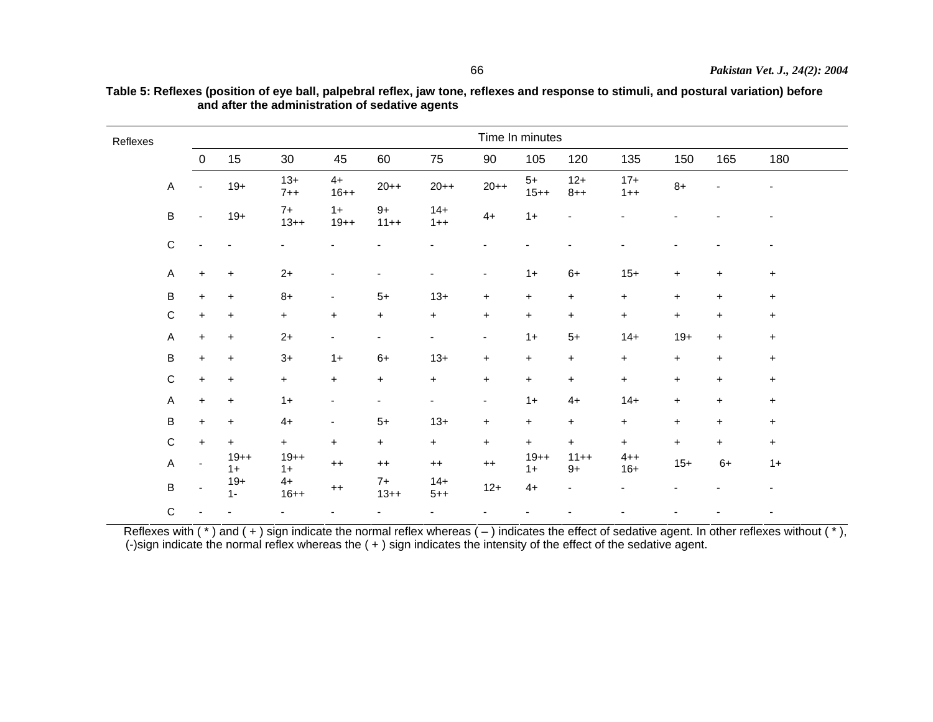| Reflexes |                           | Time In minutes |                |                  |                          |                          |                  |                |                |                          |                  |                          |                |                          |  |
|----------|---------------------------|-----------------|----------------|------------------|--------------------------|--------------------------|------------------|----------------|----------------|--------------------------|------------------|--------------------------|----------------|--------------------------|--|
|          |                           | $\overline{0}$  | 15             | 30               | 45                       | 60                       | 75               | 90             | 105            | 120                      | 135              | 150                      | 165            | 180                      |  |
|          | $\overline{A}$            | $\overline{a}$  | $19+$          | $13+$<br>$7 + +$ | $4+$<br>$16++$           | $20++$                   | $20 + +$         | $20++$         | $5+$<br>$15++$ | $12+$<br>$8 + +$         | $17+$<br>$1++$   | $8+$                     | $\blacksquare$ | $\blacksquare$           |  |
|          | $\, {\bf B}$              | $\blacksquare$  | $19+$          | $7+$<br>$13++$   | $1+$<br>$19++$           | $9+$<br>$11++$           | $14+$<br>$1 + +$ | $4+$           | $1+$           |                          |                  |                          |                |                          |  |
|          | $\mathsf C$               |                 |                |                  |                          |                          |                  |                |                |                          |                  |                          |                |                          |  |
|          | $\boldsymbol{\mathsf{A}}$ | $\ddot{}$       | $\ddot{}$      | $2+$             | $\overline{\phantom{0}}$ |                          | $\blacksquare$   | $\blacksquare$ | $1+$           | $6+$                     | $15+$            | $\ddot{}$                | $\ddot{}$      | $\ddot{}$                |  |
|          | $\, {\sf B}$              | $\ddot{}$       | $\ddot{}$      | $8+$             | $\overline{\phantom{a}}$ | $5+$                     | $13+$            | $\ddot{}$      | $\ddot{}$      | $+$                      | $\ddot{}$        | $\ddot{}$                | $+$            | $+$                      |  |
|          | $\mathsf C$               | $\ddot{}$       | $\ddot{}$      | $+$              | $\ddot{}$                | $\ddot{}$                | $+$              | $\ddot{}$      | $\ddot{}$      | $+$                      | $\ddot{}$        | $\ddot{}$                | $\ddot{}$      | $\ddot{}$                |  |
|          | $\boldsymbol{\mathsf{A}}$ | $\ddot{}$       | $\ddot{}$      | $2+$             | ۰.                       | $\blacksquare$           | ۰.               | ٠              | $1+$           | $5+$                     | $14+$            | $19+$                    | $\ddot{}$      | $\ddot{}$                |  |
|          | $\sf B$                   | $\ddot{}$       | $\ddot{}$      | $3+$             | $1+$                     | $6+$                     | $13+$            | $\ddot{}$      | $\ddot{}$      | $+$                      | $\ddot{}$        | $\ddot{}$                | $\ddot{}$      | $+$                      |  |
|          | $\mathsf C$               | $\ddot{}$       | $\ddot{}$      | $+$              | $+$                      | $\ddot{}$                | $+$              | $\ddot{}$      | $\ddot{}$      | $+$                      | $\ddot{}$        | $\pm$                    | $\ddot{}$      | $+$                      |  |
|          | $\mathsf A$               | $\ddot{}$       | $\ddot{}$      | $1+$             | $\overline{\phantom{a}}$ | $\overline{\phantom{a}}$ | ۰.               | $\blacksquare$ | $1+$           | $4+$                     | $14+$            | $\pm$                    | $\ddot{}$      | $+$                      |  |
|          | $\sf B$                   | $\ddot{}$       | $\ddot{}$      | $4+$             | $\overline{\phantom{a}}$ | $5+$                     | $13+$            | $\ddot{}$      | $\ddot{}$      | $\ddot{}$                | $\ddot{}$        | $\ddot{}$                | $\ddot{}$      | $+$                      |  |
|          | $\mathsf C$               | $\ddot{}$       | $\ddot{}$      | $+$              | $+$                      | $+$                      | $+$              | $\ddot{}$      | $\ddot{}$      | $+$                      | $\ddot{}$        | $\ddot{}$                | $\ddot{}$      | $+$                      |  |
|          | $\boldsymbol{\mathsf{A}}$ | $\blacksquare$  | $19++$<br>$1+$ | $19++$<br>$1+$   | $++$                     | $++$                     | $++$             | $^{++}$        | $19++$<br>$1+$ | $11++$<br>$9+$           | $4 + +$<br>$16+$ | $15+$                    | $6+$           | $1+$                     |  |
|          | $\sf B$                   | $\blacksquare$  | $19+$<br>$1 -$ | $4+$<br>$16++$   | $^{++}$                  | $7+$<br>$13++$           | $14+$<br>$5 + +$ | $12+$          | $4+$           | $\overline{\phantom{a}}$ |                  | -                        |                | $\overline{\phantom{0}}$ |  |
|          | $\mathsf{C}$              |                 |                | $\blacksquare$   | ٠                        | $\overline{\phantom{a}}$ | $\blacksquare$   | ٠              | ٠              | ٠                        |                  | $\overline{\phantom{a}}$ | ٠              | ٠                        |  |

**Table 5: Reflexes (position of eye ball, palpebral reflex, jaw tone, reflexes and response to stimuli, and postural variation) before and after the administration of sedative agents**

Reflexes with  $(\cdot)$  and  $(\cdot)$  sign indicate the normal reflex whereas  $(-)$  indicates the effect of sedative agent. In other reflexes without  $(\cdot)$ , (-)sign indicate the normal reflex whereas the ( + ) sign indicates the intensity of the effect of the sedative agent.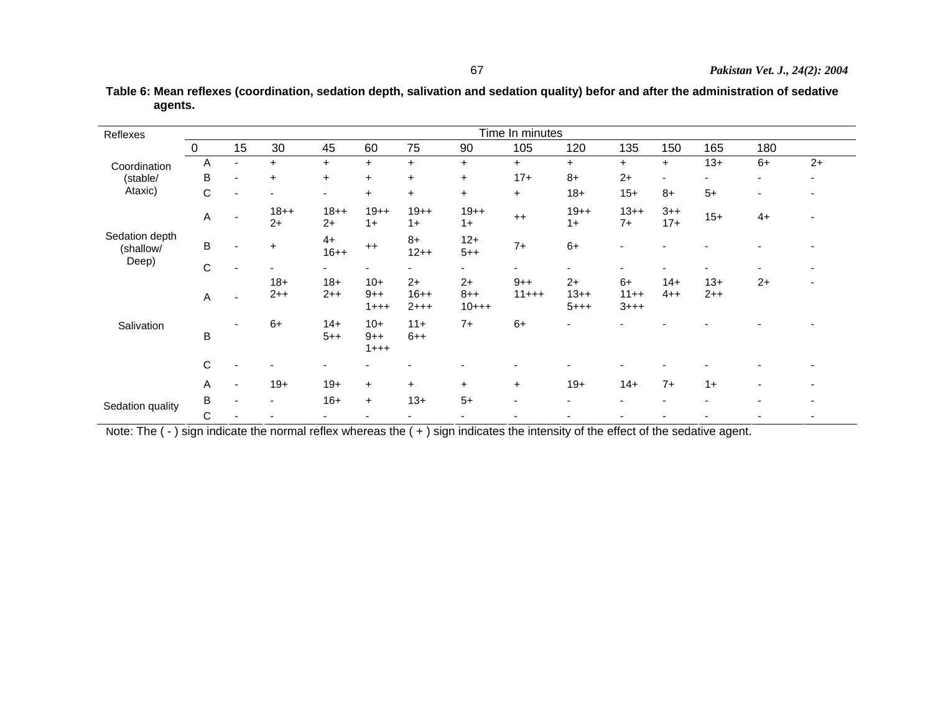**Table 6: Mean reflexes (coordination, sedation depth, salivation and sedation quality) befor and after the administration of sedative agents.**

| Reflexes                    | Time In minutes |                          |                 |                          |                             |                               |                           |                 |                             |                             |                          |                |      |      |
|-----------------------------|-----------------|--------------------------|-----------------|--------------------------|-----------------------------|-------------------------------|---------------------------|-----------------|-----------------------------|-----------------------------|--------------------------|----------------|------|------|
|                             | $\mathbf 0$     | 15                       | 30              | 45                       | 60                          | 75                            | 90                        | 105             | 120                         | 135                         | 150                      | 165            | 180  |      |
| Coordination                | Α               | $\overline{\phantom{0}}$ | $\ddot{}$       | $\ddot{}$                | $+$                         | $+$                           | $\ddot{}$                 | $\ddot{}$       | $+$                         | $\ddot{}$                   | $+$                      | $13+$          | $6+$ | $2+$ |
| (stable/                    | B               | $\overline{\phantom{a}}$ | $\ddot{}$       | $\ddot{}$                | $\ddot{}$                   | $\ddot{}$                     | $\ddot{}$                 | $17+$           | $8+$                        | $2+$                        | $\overline{\phantom{a}}$ |                |      |      |
| Ataxic)                     | C               | $\overline{\phantom{0}}$ |                 | $\overline{\phantom{a}}$ | $+$                         | $+$                           | $\ddot{}$                 | $\ddot{}$       | $18 +$                      | $15+$                       | $8+$                     | $5+$           |      |      |
|                             | A               |                          | $18++$<br>$2+$  | $18++$<br>$2+$           | $19++$<br>$1+$              | $19++$<br>$1+$                | $19++$<br>$1+$            | $++$            | $19++$<br>$1+$              | $13++$<br>$7+$              | $3 + +$<br>$17+$         | $15+$          | $4+$ |      |
| Sedation depth<br>(shallow/ | $\sf B$         | $\overline{\phantom{0}}$ | $\ddot{}$       | $4+$<br>$16 + +$         | $^{++}$                     | $8+$<br>$12++$                | $12+$<br>$5 + +$          | $7+$            | $6+$                        | ٠                           |                          |                |      |      |
| Deep)                       | C               | $\overline{\phantom{a}}$ |                 | ٠                        | $\overline{\phantom{a}}$    | ٠                             | ٠                         | ۰.              | ۰                           | -                           |                          |                |      |      |
|                             | A               | ۰                        | $18 +$<br>$2++$ | $18+$<br>$2++$           | $10+$<br>$9++$<br>$1 + + +$ | $2+$<br>$16 + +$<br>$2 + + +$ | $2+$<br>$8 + +$<br>$10++$ | $9++$<br>$11++$ | $2+$<br>$13++$<br>$5 + + +$ | $6+$<br>$11++$<br>$3 + + +$ | $14+$<br>$4 + +$         | $13+$<br>$2++$ | $2+$ |      |
| Salivation                  | $\sf B$         |                          | $6+$            | $14+$<br>$5 + +$         | $10+$<br>$9++$<br>$1 + + +$ | $11+$<br>$6 + +$              | $7+$                      | $6+$            | -                           |                             |                          |                |      |      |
|                             | $\mathsf C$     |                          |                 | $\overline{\phantom{a}}$ |                             |                               |                           |                 |                             |                             |                          |                |      |      |
|                             | A               | $\overline{\phantom{a}}$ | $19+$           | $19+$                    | $\ddot{}$                   | $+$                           | $\ddot{}$                 | $\ddot{}$       | $19+$                       | $14+$                       | $7+$                     | $1+$           |      |      |
|                             | B               | $\blacksquare$           |                 | $16+$                    | $\ddot{}$                   | $13+$                         | $5+$                      | ٠               | ٠                           | ٠                           |                          |                |      |      |
| Sedation quality            | С               |                          |                 | ۰                        |                             | -                             |                           |                 |                             |                             |                          |                |      |      |

Note: The ( - ) sign indicate the normal reflex whereas the ( + ) sign indicates the intensity of the effect of the sedative agent.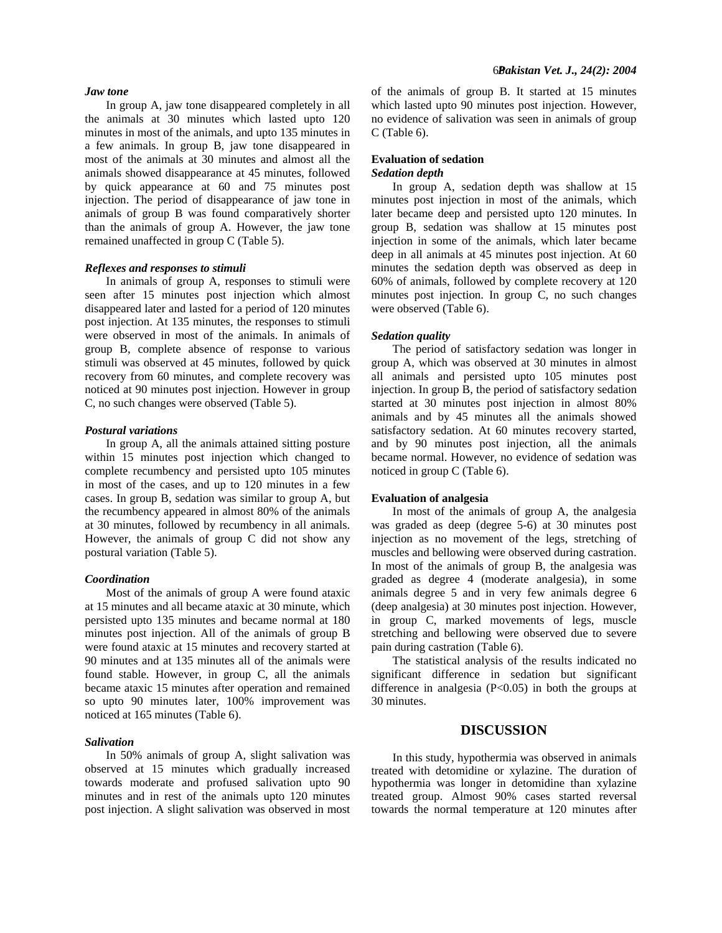## *Jaw tone*

In group A, jaw tone disappeared completely in all the animals at 30 minutes which lasted upto 120 minutes in most of the animals, and upto 135 minutes in a few animals. In group B, jaw tone disappeared in most of the animals at 30 minutes and almost all the animals showed disappearance at 45 minutes, followed by quick appearance at 60 and 75 minutes post injection. The period of disappearance of jaw tone in animals of group B was found comparatively shorter than the animals of group A. However, the jaw tone remained unaffected in group C (Table 5).

## *Reflexes and responses to stimuli*

In animals of group A, responses to stimuli were seen after 15 minutes post injection which almost disappeared later and lasted for a period of 120 minutes post injection. At 135 minutes, the responses to stimuli were observed in most of the animals. In animals of group B, complete absence of response to various stimuli was observed at 45 minutes, followed by quick recovery from 60 minutes, and complete recovery was noticed at 90 minutes post injection. However in group C, no such changes were observed (Table 5).

#### *Postural variations*

In group A, all the animals attained sitting posture within 15 minutes post injection which changed to complete recumbency and persisted upto 105 minutes in most of the cases, and up to 120 minutes in a few cases. In group B, sedation was similar to group A, but the recumbency appeared in almost 80% of the animals at 30 minutes, followed by recumbency in all animals. However, the animals of group C did not show any postural variation (Table 5).

#### *Coordination*

Most of the animals of group A were found ataxic at 15 minutes and all became ataxic at 30 minute, which persisted upto 135 minutes and became normal at 180 minutes post injection. All of the animals of group B were found ataxic at 15 minutes and recovery started at 90 minutes and at 135 minutes all of the animals were found stable. However, in group C, all the animals became ataxic 15 minutes after operation and remained so upto 90 minutes later, 100% improvement was noticed at 165 minutes (Table 6).

#### *Salivation*

In 50% animals of group A, slight salivation was observed at 15 minutes which gradually increased towards moderate and profused salivation upto 90 minutes and in rest of the animals upto 120 minutes post injection. A slight salivation was observed in most of the animals of group B. It started at 15 minutes which lasted upto 90 minutes post injection. However, no evidence of salivation was seen in animals of group C (Table 6).

# **Evaluation of sedation**

# *Sedation depth*

In group A, sedation depth was shallow at 15 minutes post injection in most of the animals, which later became deep and persisted upto 120 minutes. In group B, sedation was shallow at 15 minutes post injection in some of the animals, which later became deep in all animals at 45 minutes post injection. At 60 minutes the sedation depth was observed as deep in 60% of animals, followed by complete recovery at 120 minutes post injection. In group C, no such changes were observed (Table 6).

#### *Sedation quality*

The period of satisfactory sedation was longer in group A, which was observed at 30 minutes in almost all animals and persisted upto 105 minutes post injection. In group B, the period of satisfactory sedation started at 30 minutes post injection in almost 80% animals and by 45 minutes all the animals showed satisfactory sedation. At 60 minutes recovery started, and by 90 minutes post injection, all the animals became normal. However, no evidence of sedation was noticed in group C (Table 6).

# **Evaluation of analgesia**

In most of the animals of group A, the analgesia was graded as deep (degree 5-6) at 30 minutes post injection as no movement of the legs, stretching of muscles and bellowing were observed during castration. In most of the animals of group B, the analgesia was graded as degree 4 (moderate analgesia), in some animals degree 5 and in very few animals degree 6 (deep analgesia) at 30 minutes post injection. However, in group C, marked movements of legs, muscle stretching and bellowing were observed due to severe pain during castration (Table 6).

The statistical analysis of the results indicated no significant difference in sedation but significant difference in analgesia  $(P<0.05)$  in both the groups at 30 minutes.

## **DISCUSSION**

In this study, hypothermia was observed in animals treated with detomidine or xylazine. The duration of hypothermia was longer in detomidine than xylazine treated group. Almost 90% cases started reversal towards the normal temperature at 120 minutes after